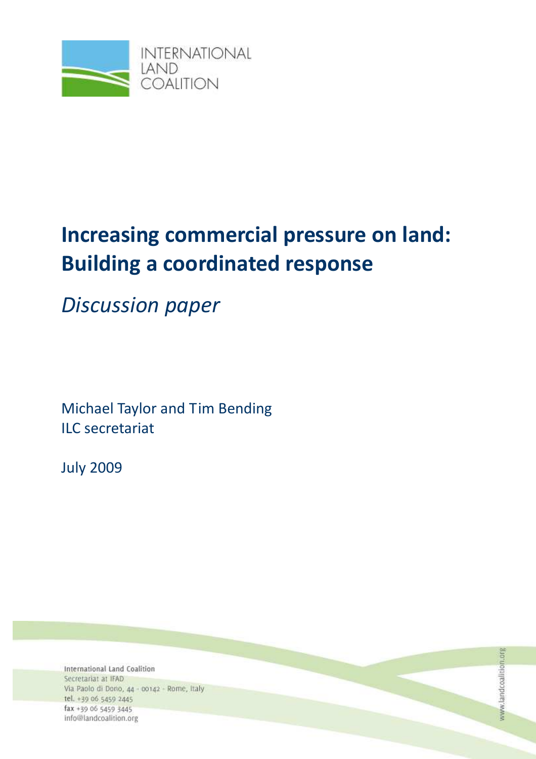

# Increasing commercial pressure on land: Building a coordinated response

Discussion paper

Michael Taylor and Tim Bending ILC secretariat

July 2009

International Land Coalition Secretariat at IFAD Via Paolo di Dono, 44 - 00142 - Rome, Italy tel. +39 06 5459 2445 fax +39 06 5459 3445 info@landcoalition.org

www.landcoalition.org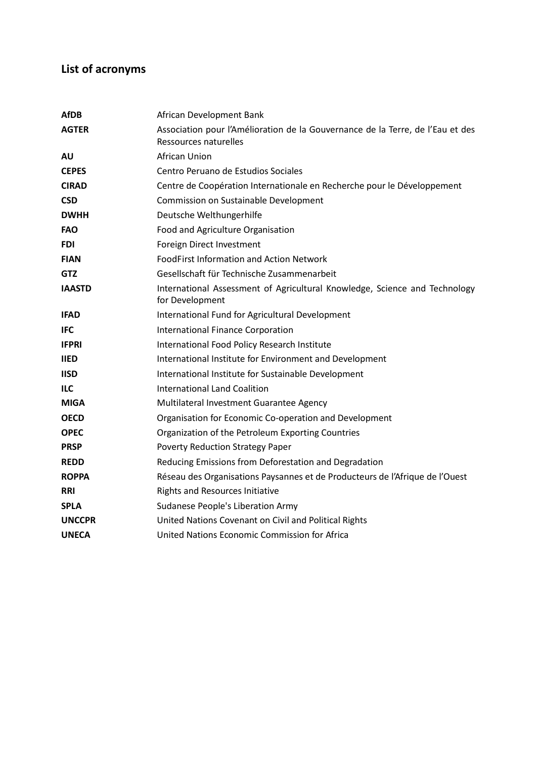# List of acronyms

| African Development Bank                                                                                |
|---------------------------------------------------------------------------------------------------------|
| Association pour l'Amélioration de la Gouvernance de la Terre, de l'Eau et des<br>Ressources naturelles |
| African Union                                                                                           |
| Centro Peruano de Estudios Sociales                                                                     |
| Centre de Coopération Internationale en Recherche pour le Développement                                 |
| Commission on Sustainable Development                                                                   |
| Deutsche Welthungerhilfe                                                                                |
| Food and Agriculture Organisation                                                                       |
| Foreign Direct Investment                                                                               |
| <b>FoodFirst Information and Action Network</b>                                                         |
| Gesellschaft für Technische Zusammenarbeit                                                              |
| International Assessment of Agricultural Knowledge, Science and Technology<br>for Development           |
| International Fund for Agricultural Development                                                         |
| International Finance Corporation                                                                       |
| International Food Policy Research Institute                                                            |
| International Institute for Environment and Development                                                 |
| International Institute for Sustainable Development                                                     |
| International Land Coalition                                                                            |
| Multilateral Investment Guarantee Agency                                                                |
| Organisation for Economic Co-operation and Development                                                  |
| Organization of the Petroleum Exporting Countries                                                       |
| Poverty Reduction Strategy Paper                                                                        |
| Reducing Emissions from Deforestation and Degradation                                                   |
| Réseau des Organisations Paysannes et de Producteurs de l'Afrique de l'Ouest                            |
| <b>Rights and Resources Initiative</b>                                                                  |
| Sudanese People's Liberation Army                                                                       |
| United Nations Covenant on Civil and Political Rights                                                   |
| United Nations Economic Commission for Africa                                                           |
|                                                                                                         |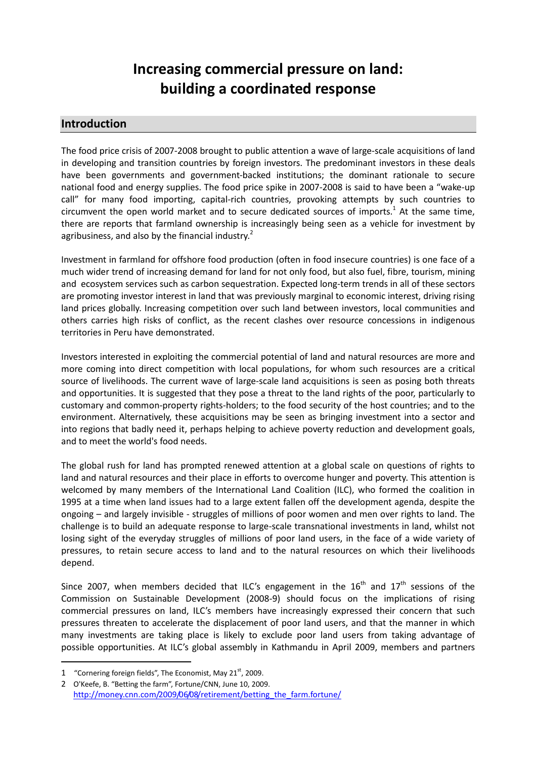# Increasing commercial pressure on land: building a coordinated response

#### Introduction

The food price crisis of 2007-2008 brought to public attention a wave of large-scale acquisitions of land in developing and transition countries by foreign investors. The predominant investors in these deals have been governments and government-backed institutions; the dominant rationale to secure national food and energy supplies. The food price spike in 2007-2008 is said to have been a "wake-up call" for many food importing, capital-rich countries, provoking attempts by such countries to circumvent the open world market and to secure dedicated sources of imports.<sup>1</sup> At the same time, there are reports that farmland ownership is increasingly being seen as a vehicle for investment by agribusiness, and also by the financial industry.<sup>2</sup>

Investment in farmland for offshore food production (often in food insecure countries) is one face of a much wider trend of increasing demand for land for not only food, but also fuel, fibre, tourism, mining and ecosystem services such as carbon sequestration. Expected long-term trends in all of these sectors are promoting investor interest in land that was previously marginal to economic interest, driving rising land prices globally. Increasing competition over such land between investors, local communities and others carries high risks of conflict, as the recent clashes over resource concessions in indigenous territories in Peru have demonstrated.

Investors interested in exploiting the commercial potential of land and natural resources are more and more coming into direct competition with local populations, for whom such resources are a critical source of livelihoods. The current wave of large-scale land acquisitions is seen as posing both threats and opportunities. It is suggested that they pose a threat to the land rights of the poor, particularly to customary and common-property rights-holders; to the food security of the host countries; and to the environment. Alternatively, these acquisitions may be seen as bringing investment into a sector and into regions that badly need it, perhaps helping to achieve poverty reduction and development goals, and to meet the world's food needs.

The global rush for land has prompted renewed attention at a global scale on questions of rights to land and natural resources and their place in efforts to overcome hunger and poverty. This attention is welcomed by many members of the International Land Coalition (ILC), who formed the coalition in 1995 at a time when land issues had to a large extent fallen off the development agenda, despite the ongoing – and largely invisible - struggles of millions of poor women and men over rights to land. The challenge is to build an adequate response to large-scale transnational investments in land, whilst not losing sight of the everyday struggles of millions of poor land users, in the face of a wide variety of pressures, to retain secure access to land and to the natural resources on which their livelihoods depend.

Since 2007, when members decided that ILC's engagement in the  $16<sup>th</sup>$  and  $17<sup>th</sup>$  sessions of the Commission on Sustainable Development (2008-9) should focus on the implications of rising commercial pressures on land, ILC's members have increasingly expressed their concern that such pressures threaten to accelerate the displacement of poor land users, and that the manner in which many investments are taking place is likely to exclude poor land users from taking advantage of possible opportunities. At ILC's global assembly in Kathmandu in April 2009, members and partners

<sup>1 &</sup>quot;Cornering foreign fields", The Economist, May  $21<sup>st</sup>$ , 2009.

<sup>2</sup> O'Keefe, B. "Betting the farm", Fortune/CNN, June 10, 2009. http://money.cnn.com/2009/06/08/retirement/betting the farm.fortune/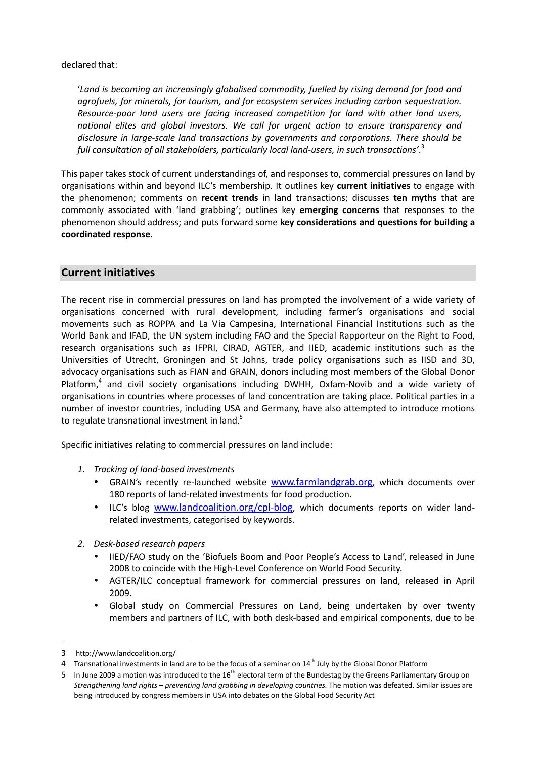declared that:

'Land is becoming an increasingly globalised commodity, fuelled by rising demand for food and agrofuels, for minerals, for tourism, and for ecosystem services including carbon sequestration. Resource-poor land users are facing increased competition for land with other land users, national elites and global investors. We call for urgent action to ensure transparency and disclosure in large-scale land transactions by governments and corporations. There should be full consultation of all stakeholders, particularly local land-users, in such transactions'. $^3$ 

This paper takes stock of current understandings of, and responses to, commercial pressures on land by organisations within and beyond ILC's membership. It outlines key current initiatives to engage with the phenomenon; comments on recent trends in land transactions; discusses ten myths that are commonly associated with 'land grabbing'; outlines key emerging concerns that responses to the phenomenon should address; and puts forward some key considerations and questions for building a coordinated response.

#### Current initiatives

The recent rise in commercial pressures on land has prompted the involvement of a wide variety of organisations concerned with rural development, including farmer's organisations and social movements such as ROPPA and La Via Campesina, International Financial Institutions such as the World Bank and IFAD, the UN system including FAO and the Special Rapporteur on the Right to Food, research organisations such as IFPRI, CIRAD, AGTER, and IIED, academic institutions such as the Universities of Utrecht, Groningen and St Johns, trade policy organisations such as IISD and 3D, advocacy organisations such as FIAN and GRAIN, donors including most members of the Global Donor Platform,<sup>4</sup> and civil society organisations including DWHH, Oxfam-Novib and a wide variety of organisations in countries where processes of land concentration are taking place. Political parties in a number of investor countries, including USA and Germany, have also attempted to introduce motions to regulate transnational investment in land.<sup>5</sup>

Specific initiatives relating to commercial pressures on land include:

- 1. Tracking of land-based investments
	- GRAIN's recently re-launched website **www.farmlandgrab.org**, which documents over 180 reports of land-related investments for food production.
	- ILC's blog www.landcoalition.org/cpl-blog, which documents reports on wider landrelated investments, categorised by keywords.
- 2. Desk-based research papers
	- IIED/FAO study on the 'Biofuels Boom and Poor People's Access to Land', released in June 2008 to coincide with the High-Level Conference on World Food Security.
	- AGTER/ILC conceptual framework for commercial pressures on land, released in April 2009.
	- Global study on Commercial Pressures on Land, being undertaken by over twenty members and partners of ILC, with both desk-based and empirical components, due to be

<sup>3</sup> http://www.landcoalition.org/

<sup>4</sup> Transnational investments in land are to be the focus of a seminar on 14<sup>th</sup> July by the Global Donor Platform

<sup>5</sup> In June 2009 a motion was introduced to the 16<sup>th</sup> electoral term of the Bundestag by the Greens Parliamentary Group on Strengthening land rights – preventing land grabbing in developing countries. The motion was defeated. Similar issues are being introduced by congress members in USA into debates on the Global Food Security Act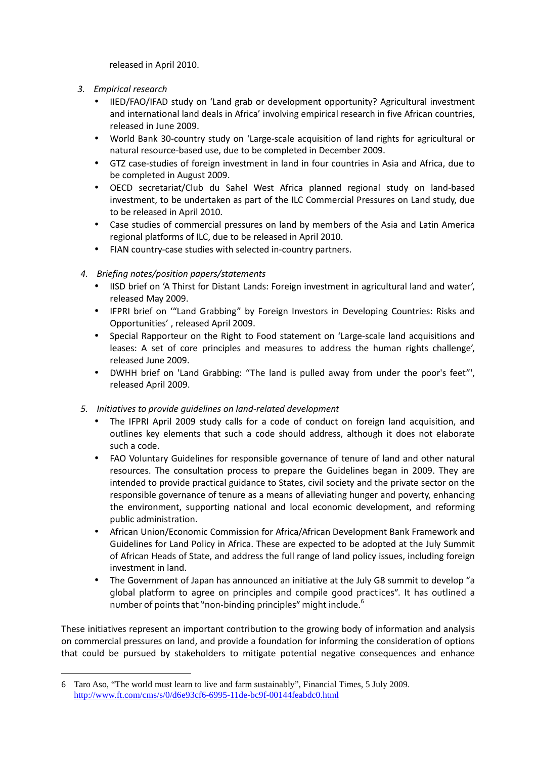released in April 2010.

- 3. Empirical research
	- IIED/FAO/IFAD study on 'Land grab or development opportunity? Agricultural investment and international land deals in Africa' involving empirical research in five African countries, released in June 2009.
	- World Bank 30-country study on 'Large-scale acquisition of land rights for agricultural or natural resource-based use, due to be completed in December 2009.
	- GTZ case-studies of foreign investment in land in four countries in Asia and Africa, due to be completed in August 2009.
	- OECD secretariat/Club du Sahel West Africa planned regional study on land-based investment, to be undertaken as part of the ILC Commercial Pressures on Land study, due to be released in April 2010.
	- Case studies of commercial pressures on land by members of the Asia and Latin America regional platforms of ILC, due to be released in April 2010.
	- FIAN country-case studies with selected in-country partners.
- 4. Briefing notes/position papers/statements
	- IISD brief on 'A Thirst for Distant Lands: Foreign investment in agricultural land and water', released May 2009.
	- IFPRI brief on '"Land Grabbing" by Foreign Investors in Developing Countries: Risks and Opportunities' , released April 2009.
	- Special Rapporteur on the Right to Food statement on 'Large-scale land acquisitions and leases: A set of core principles and measures to address the human rights challenge', released June 2009.
	- DWHH brief on 'Land Grabbing: "The land is pulled away from under the poor's feet"', released April 2009.
- 5. Initiatives to provide guidelines on land-related development
	- The IFPRI April 2009 study calls for a code of conduct on foreign land acquisition, and outlines key elements that such a code should address, although it does not elaborate such a code.
	- FAO Voluntary Guidelines for responsible governance of tenure of land and other natural resources. The consultation process to prepare the Guidelines began in 2009. They are intended to provide practical guidance to States, civil society and the private sector on the responsible governance of tenure as a means of alleviating hunger and poverty, enhancing the environment, supporting national and local economic development, and reforming public administration.
	- African Union/Economic Commission for Africa/African Development Bank Framework and Guidelines for Land Policy in Africa. These are expected to be adopted at the July Summit of African Heads of State, and address the full range of land policy issues, including foreign investment in land.
	- The Government of Japan has announced an initiative at the July G8 summit to develop "a global platform to agree on principles and compile good practices". It has outlined a number of points that "non-binding principles" might include. $^6$

These initiatives represent an important contribution to the growing body of information and analysis on commercial pressures on land, and provide a foundation for informing the consideration of options that could be pursued by stakeholders to mitigate potential negative consequences and enhance

<sup>6</sup> Taro Aso, "The world must learn to live and farm sustainably", Financial Times, 5 July 2009. http://www.ft.com/cms/s/0/d6e93cf6-6995-11de-bc9f-00144feabdc0.html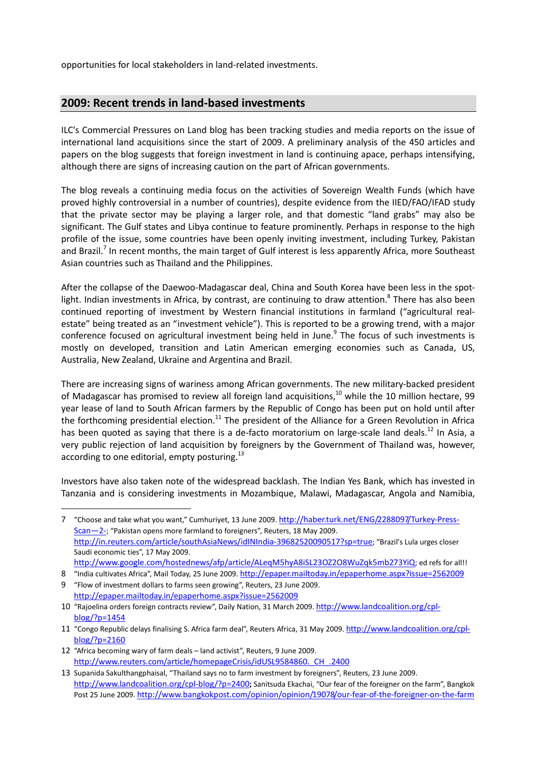opportunities for local stakeholders in land-related investments.

#### 2009: Recent trends in land-based investments

ILC's Commercial Pressures on Land blog has been tracking studies and media reports on the issue of international land acquisitions since the start of 2009. A preliminary analysis of the 450 articles and papers on the blog suggests that foreign investment in land is continuing apace, perhaps intensifying, although there are signs of increasing caution on the part of African governments.

The blog reveals a continuing media focus on the activities of Sovereign Wealth Funds (which have proved highly controversial in a number of countries), despite evidence from the IIED/FAO/IFAD study that the private sector may be playing a larger role, and that domestic "land grabs" may also be significant. The Gulf states and Libya continue to feature prominently. Perhaps in response to the high profile of the issue, some countries have been openly inviting investment, including Turkey, Pakistan and Brazil.<sup>7</sup> In recent months, the main target of Gulf interest is less apparently Africa, more Southeast Asian countries such as Thailand and the Philippines.

After the collapse of the Daewoo-Madagascar deal, China and South Korea have been less in the spotlight. Indian investments in Africa, by contrast, are continuing to draw attention.<sup>8</sup> There has also been continued reporting of investment by Western financial institutions in farmland ("agricultural realestate" being treated as an "investment vehicle"). This is reported to be a growing trend, with a major conference focused on agricultural investment being held in June.<sup>9</sup> The focus of such investments is mostly on developed, transition and Latin American emerging economies such as Canada, US, Australia, New Zealand, Ukraine and Argentina and Brazil.

There are increasing signs of wariness among African governments. The new military-backed president of Madagascar has promised to review all foreign land acquisitions,<sup>10</sup> while the 10 million hectare, 99 year lease of land to South African farmers by the Republic of Congo has been put on hold until after the forthcoming presidential election.<sup>11</sup> The president of the Alliance for a Green Revolution in Africa has been quoted as saying that there is a de-facto moratorium on large-scale land deals.<sup>12</sup> In Asia, a very public rejection of land acquisition by foreigners by the Government of Thailand was, however, according to one editorial, empty posturing. $^{13}$ 

Investors have also taken note of the widespread backlash. The Indian Yes Bank, which has invested in Tanzania and is considering investments in Mozambique, Malawi, Madagascar, Angola and Namibia,

<sup>7</sup> "Choose and take what you want," Cumhuriyet, 13 June 2009. http://haber.turk.net/ENG/2288097/Turkey-Press-Scan—2-; "Pakistan opens more farmland to foreigners", Reuters, 18 May 2009. http://in.reuters.com/article/southAsiaNews/idINIndia-39682520090517?sp=true; "Brazil's Lula urges closer Saudi economic ties", 17 May 2009. http://www.google.com/hostednews/afp/article/ALeqM5hyA8iSL23OZ2O8WuZqk5mb273YiQ; ed refs for all!!

<sup>8</sup> "India cultivates Africa", Mail Today, 25 June 2009. http://epaper.mailtoday.in/epaperhome.aspx?issue=2562009

<sup>9</sup> "Flow of investment dollars to farms seen growing", Reuters, 23 June 2009. http://epaper.mailtoday.in/epaperhome.aspx?issue=2562009

<sup>10</sup> "Rajoelina orders foreign contracts review", Daily Nation, 31 March 2009. http://www.landcoalition.org/cplblog/?p=1454

<sup>11</sup> "Congo Republic delays finalising S. Africa farm deal", Reuters Africa, 31 May 2009. http://www.landcoalition.org/cplblog/?p=2160

<sup>12</sup> "Africa becoming wary of farm deals – land activist", Reuters, 9 June 2009. http://www.reuters.com/article/homepageCrisis/idUSL9584860.\_CH\_.2400

<sup>13</sup> Supanida Sakulthangphaisal, "Thailand says no to farm investment by foreigners", Reuters, 23 June 2009. http://www.landcoalition.org/cpl-blog/?p=2400; Sanitsuda Ekachai, "Our fear of the foreigner on the farm", Bangkok Post 25 June 2009. http://www.bangkokpost.com/opinion/opinion/19078/our-fear-of-the-foreigner-on-the-farm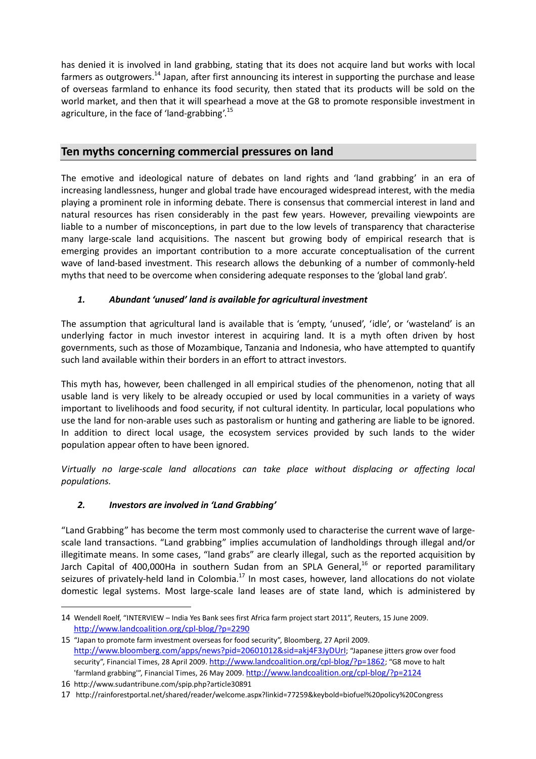has denied it is involved in land grabbing, stating that its does not acquire land but works with local farmers as outgrowers.<sup>14</sup> Japan, after first announcing its interest in supporting the purchase and lease of overseas farmland to enhance its food security, then stated that its products will be sold on the world market, and then that it will spearhead a move at the G8 to promote responsible investment in agriculture, in the face of 'land-grabbing'.<sup>15</sup>

#### Ten myths concerning commercial pressures on land

The emotive and ideological nature of debates on land rights and 'land grabbing' in an era of increasing landlessness, hunger and global trade have encouraged widespread interest, with the media playing a prominent role in informing debate. There is consensus that commercial interest in land and natural resources has risen considerably in the past few years. However, prevailing viewpoints are liable to a number of misconceptions, in part due to the low levels of transparency that characterise many large-scale land acquisitions. The nascent but growing body of empirical research that is emerging provides an important contribution to a more accurate conceptualisation of the current wave of land-based investment. This research allows the debunking of a number of commonly-held myths that need to be overcome when considering adequate responses to the 'global land grab'.

#### 1. Abundant 'unused' land is available for agricultural investment

The assumption that agricultural land is available that is 'empty, 'unused', 'idle', or 'wasteland' is an underlying factor in much investor interest in acquiring land. It is a myth often driven by host governments, such as those of Mozambique, Tanzania and Indonesia, who have attempted to quantify such land available within their borders in an effort to attract investors.

This myth has, however, been challenged in all empirical studies of the phenomenon, noting that all usable land is very likely to be already occupied or used by local communities in a variety of ways important to livelihoods and food security, if not cultural identity. In particular, local populations who use the land for non-arable uses such as pastoralism or hunting and gathering are liable to be ignored. In addition to direct local usage, the ecosystem services provided by such lands to the wider population appear often to have been ignored.

Virtually no large-scale land allocations can take place without displacing or affecting local populations.

#### 2. Investors are involved in 'Land Grabbing'

"Land Grabbing" has become the term most commonly used to characterise the current wave of largescale land transactions. "Land grabbing" implies accumulation of landholdings through illegal and/or illegitimate means. In some cases, "land grabs" are clearly illegal, such as the reported acquisition by Jarch Capital of 400,000Ha in southern Sudan from an SPLA General,<sup>16</sup> or reported paramilitary seizures of privately-held land in Colombia.<sup>17</sup> In most cases, however, land allocations do not violate domestic legal systems. Most large-scale land leases are of state land, which is administered by

<sup>14</sup> Wendell Roelf, "INTERVIEW – India Yes Bank sees first Africa farm project start 2011", Reuters, 15 June 2009. http://www.landcoalition.org/cpl-blog/?p=2290

<sup>15</sup> "Japan to promote farm investment overseas for food security", Bloomberg, 27 April 2009. http://www.bloomberg.com/apps/news?pid=20601012&sid=akj4F3JyDUrI; "Japanese jitters grow over food security", Financial Times, 28 April 2009. http://www.landcoalition.org/cpl-blog/?p=1862; "G8 move to halt 'farmland grabbing'", Financial Times, 26 May 2009. http://www.landcoalition.org/cpl-blog/?p=2124

<sup>16</sup> http://www.sudantribune.com/spip.php?article30891

<sup>17</sup> http://rainforestportal.net/shared/reader/welcome.aspx?linkid=77259&keybold=biofuel%20policy%20Congress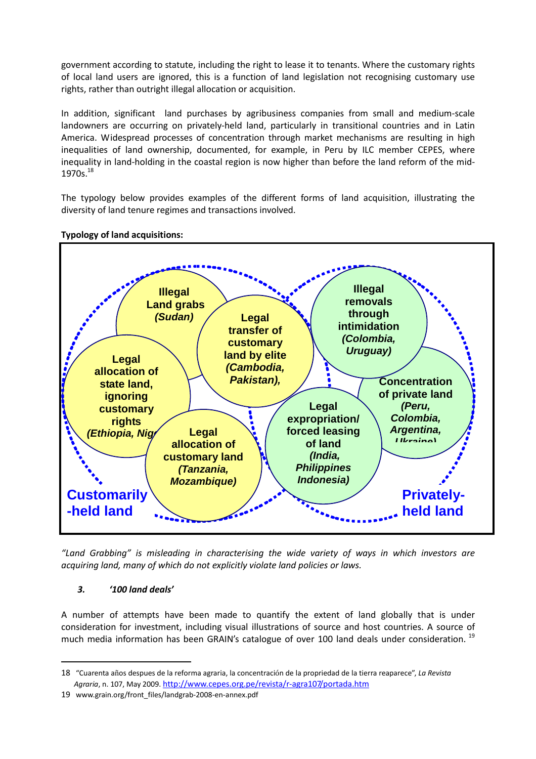government according to statute, including the right to lease it to tenants. Where the customary rights of local land users are ignored, this is a function of land legislation not recognising customary use rights, rather than outright illegal allocation or acquisition.

In addition, significant land purchases by agribusiness companies from small and medium-scale landowners are occurring on privately-held land, particularly in transitional countries and in Latin America. Widespread processes of concentration through market mechanisms are resulting in high inequalities of land ownership, documented, for example, in Peru by ILC member CEPES, where inequality in land-holding in the coastal region is now higher than before the land reform of the mid- $1970s.<sup>18</sup>$ 

The typology below provides examples of the different forms of land acquisition, illustrating the diversity of land tenure regimes and transactions involved.

#### Typology of land acquisitions:



"Land Grabbing" is misleading in characterising the wide variety of ways in which investors are acquiring land, many of which do not explicitly violate land policies or laws.

#### 3. '100 land deals'

 $\overline{a}$ 

A number of attempts have been made to quantify the extent of land globally that is under consideration for investment, including visual illustrations of source and host countries. A source of much media information has been GRAIN's catalogue of over 100 land deals under consideration.<sup>19</sup>

<sup>18</sup> "Cuarenta años despues de la reforma agraria, la concentración de la propriedad de la tierra reaparece", La Revista Agraria, n. 107, May 2009. http://www.cepes.org.pe/revista/r-agra107/portada.htm

<sup>19</sup> www.grain.org/front\_files/landgrab-2008-en-annex.pdf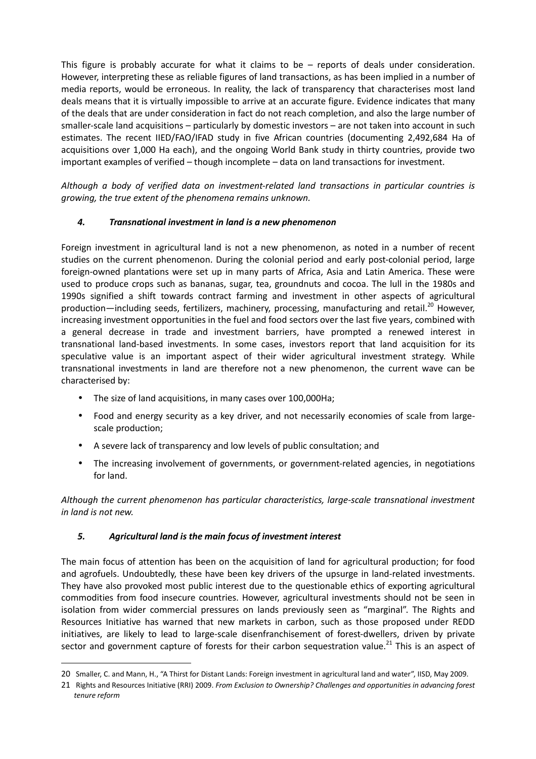This figure is probably accurate for what it claims to be  $-$  reports of deals under consideration. However, interpreting these as reliable figures of land transactions, as has been implied in a number of media reports, would be erroneous. In reality, the lack of transparency that characterises most land deals means that it is virtually impossible to arrive at an accurate figure. Evidence indicates that many of the deals that are under consideration in fact do not reach completion, and also the large number of smaller-scale land acquisitions – particularly by domestic investors – are not taken into account in such estimates. The recent IIED/FAO/IFAD study in five African countries (documenting 2,492,684 Ha of acquisitions over 1,000 Ha each), and the ongoing World Bank study in thirty countries, provide two important examples of verified – though incomplete – data on land transactions for investment.

Although a body of verified data on investment-related land transactions in particular countries is growing, the true extent of the phenomena remains unknown.

#### 4. Transnational investment in land is a new phenomenon

Foreign investment in agricultural land is not a new phenomenon, as noted in a number of recent studies on the current phenomenon. During the colonial period and early post-colonial period, large foreign-owned plantations were set up in many parts of Africa, Asia and Latin America. These were used to produce crops such as bananas, sugar, tea, groundnuts and cocoa. The lull in the 1980s and 1990s signified a shift towards contract farming and investment in other aspects of agricultural production—including seeds, fertilizers, machinery, processing, manufacturing and retail.<sup>20</sup> However, increasing investment opportunities in the fuel and food sectors over the last five years, combined with a general decrease in trade and investment barriers, have prompted a renewed interest in transnational land-based investments. In some cases, investors report that land acquisition for its speculative value is an important aspect of their wider agricultural investment strategy. While transnational investments in land are therefore not a new phenomenon, the current wave can be characterised by:

- The size of land acquisitions, in many cases over 100,000Ha;
- Food and energy security as a key driver, and not necessarily economies of scale from largescale production;
- A severe lack of transparency and low levels of public consultation; and
- The increasing involvement of governments, or government-related agencies, in negotiations for land.

Although the current phenomenon has particular characteristics, large-scale transnational investment in land is not new.

#### 5. Agricultural land is the main focus of investment interest

 $\overline{a}$ 

The main focus of attention has been on the acquisition of land for agricultural production; for food and agrofuels. Undoubtedly, these have been key drivers of the upsurge in land-related investments. They have also provoked most public interest due to the questionable ethics of exporting agricultural commodities from food insecure countries. However, agricultural investments should not be seen in isolation from wider commercial pressures on lands previously seen as "marginal". The Rights and Resources Initiative has warned that new markets in carbon, such as those proposed under REDD initiatives, are likely to lead to large-scale disenfranchisement of forest-dwellers, driven by private sector and government capture of forests for their carbon sequestration value.<sup>21</sup> This is an aspect of

<sup>20</sup> Smaller, C. and Mann, H., "A Thirst for Distant Lands: Foreign investment in agricultural land and water", IISD, May 2009.

<sup>21</sup> Rights and Resources Initiative (RRI) 2009. From Exclusion to Ownership? Challenges and opportunities in advancing forest tenure reform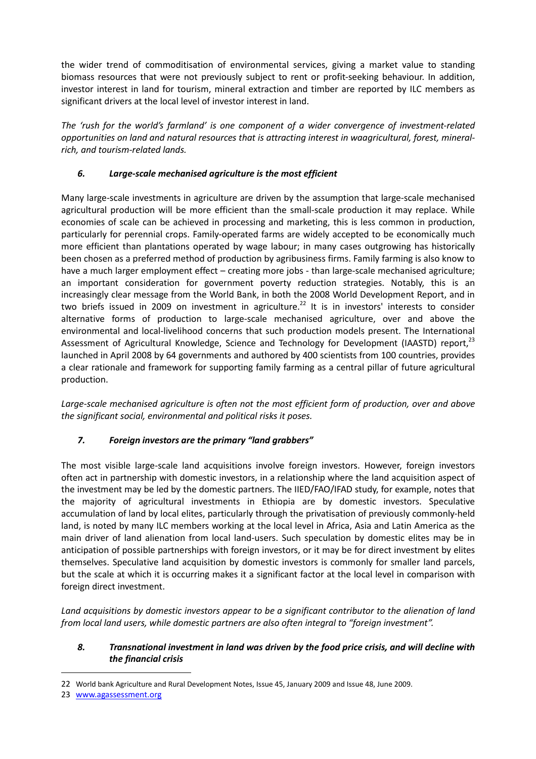the wider trend of commoditisation of environmental services, giving a market value to standing biomass resources that were not previously subject to rent or profit-seeking behaviour. In addition, investor interest in land for tourism, mineral extraction and timber are reported by ILC members as significant drivers at the local level of investor interest in land.

The 'rush for the world's farmland' is one component of a wider convergence of investment-related opportunities on land and natural resources that is attracting interest in waagricultural, forest, mineralrich, and tourism-related lands.

#### 6. Large-scale mechanised agriculture is the most efficient

Many large-scale investments in agriculture are driven by the assumption that large-scale mechanised agricultural production will be more efficient than the small-scale production it may replace. While economies of scale can be achieved in processing and marketing, this is less common in production, particularly for perennial crops. Family-operated farms are widely accepted to be economically much more efficient than plantations operated by wage labour; in many cases outgrowing has historically been chosen as a preferred method of production by agribusiness firms. Family farming is also know to have a much larger employment effect - creating more jobs - than large-scale mechanised agriculture; an important consideration for government poverty reduction strategies. Notably, this is an increasingly clear message from the World Bank, in both the 2008 World Development Report, and in two briefs issued in 2009 on investment in agriculture.<sup>22</sup> It is in investors' interests to consider alternative forms of production to large-scale mechanised agriculture, over and above the environmental and local-livelihood concerns that such production models present. The International Assessment of Agricultural Knowledge, Science and Technology for Development (IAASTD) report,<sup>23</sup> launched in April 2008 by 64 governments and authored by 400 scientists from 100 countries, provides a clear rationale and framework for supporting family farming as a central pillar of future agricultural production.

Large-scale mechanised agriculture is often not the most efficient form of production, over and above the significant social, environmental and political risks it poses.

#### 7. Foreign investors are the primary "land grabbers"

The most visible large-scale land acquisitions involve foreign investors. However, foreign investors often act in partnership with domestic investors, in a relationship where the land acquisition aspect of the investment may be led by the domestic partners. The IIED/FAO/IFAD study, for example, notes that the majority of agricultural investments in Ethiopia are by domestic investors. Speculative accumulation of land by local elites, particularly through the privatisation of previously commonly-held land, is noted by many ILC members working at the local level in Africa, Asia and Latin America as the main driver of land alienation from local land-users. Such speculation by domestic elites may be in anticipation of possible partnerships with foreign investors, or it may be for direct investment by elites themselves. Speculative land acquisition by domestic investors is commonly for smaller land parcels, but the scale at which it is occurring makes it a significant factor at the local level in comparison with foreign direct investment.

Land acquisitions by domestic investors appear to be a significant contributor to the alienation of land from local land users, while domestic partners are also often integral to "foreign investment".

#### 8. Transnational investment in land was driven by the food price crisis, and will decline with the financial crisis

<sup>22</sup> World bank Agriculture and Rural Development Notes, Issue 45, January 2009 and Issue 48, June 2009.

<sup>23</sup> www.agassessment.org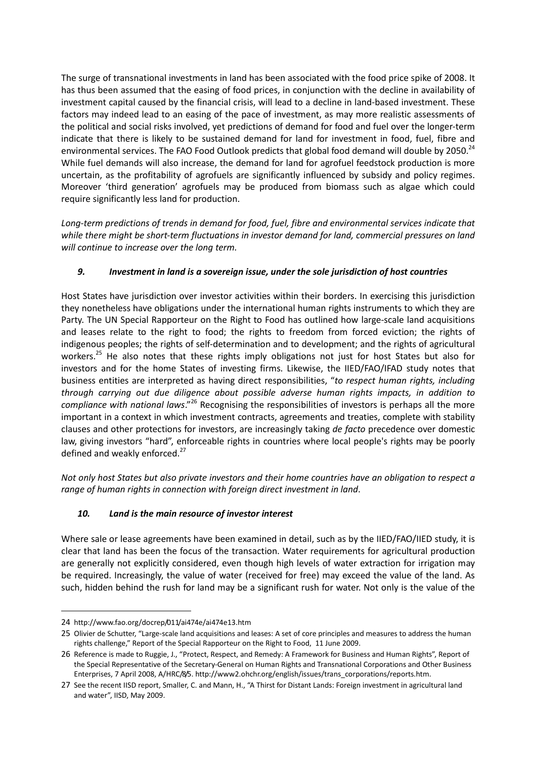The surge of transnational investments in land has been associated with the food price spike of 2008. It has thus been assumed that the easing of food prices, in conjunction with the decline in availability of investment capital caused by the financial crisis, will lead to a decline in land-based investment. These factors may indeed lead to an easing of the pace of investment, as may more realistic assessments of the political and social risks involved, yet predictions of demand for food and fuel over the longer-term indicate that there is likely to be sustained demand for land for investment in food, fuel, fibre and environmental services. The FAO Food Outlook predicts that global food demand will double by 2050.<sup>24</sup> While fuel demands will also increase, the demand for land for agrofuel feedstock production is more uncertain, as the profitability of agrofuels are significantly influenced by subsidy and policy regimes. Moreover 'third generation' agrofuels may be produced from biomass such as algae which could require significantly less land for production.

Long-term predictions of trends in demand for food, fuel, fibre and environmental services indicate that while there might be short-term fluctuations in investor demand for land, commercial pressures on land will continue to increase over the long term.

#### 9. Investment in land is a sovereign issue, under the sole jurisdiction of host countries

Host States have jurisdiction over investor activities within their borders. In exercising this jurisdiction they nonetheless have obligations under the international human rights instruments to which they are Party. The UN Special Rapporteur on the Right to Food has outlined how large-scale land acquisitions and leases relate to the right to food; the rights to freedom from forced eviction; the rights of indigenous peoples; the rights of self-determination and to development; and the rights of agricultural workers.<sup>25</sup> He also notes that these rights imply obligations not just for host States but also for investors and for the home States of investing firms. Likewise, the IIED/FAO/IFAD study notes that business entities are interpreted as having direct responsibilities, "to respect human rights, including through carrying out due diligence about possible adverse human rights impacts, in addition to compliance with national laws."<sup>26</sup> Recognising the responsibilities of investors is perhaps all the more important in a context in which investment contracts, agreements and treaties, complete with stability clauses and other protections for investors, are increasingly taking de facto precedence over domestic law, giving investors "hard", enforceable rights in countries where local people's rights may be poorly defined and weakly enforced.<sup>27</sup>

Not only host States but also private investors and their home countries have an obligation to respect a range of human rights in connection with foreign direct investment in land.

#### 10. Land is the main resource of investor interest

Where sale or lease agreements have been examined in detail, such as by the IIED/FAO/IIED study, it is clear that land has been the focus of the transaction. Water requirements for agricultural production are generally not explicitly considered, even though high levels of water extraction for irrigation may be required. Increasingly, the value of water (received for free) may exceed the value of the land. As such, hidden behind the rush for land may be a significant rush for water. Not only is the value of the

<sup>24</sup> http://www.fao.org/docrep/011/ai474e/ai474e13.htm

<sup>25</sup> Olivier de Schutter, "Large-scale land acquisitions and leases: A set of core principles and measures to address the human rights challenge," Report of the Special Rapporteur on the Right to Food, 11 June 2009.

<sup>26</sup> Reference is made to Ruggie, J., "Protect, Respect, and Remedy: A Framework for Business and Human Rights", Report of the Special Representative of the Secretary-General on Human Rights and Transnational Corporations and Other Business Enterprises, 7 April 2008, A/HRC/8/5. http://www2.ohchr.org/english/issues/trans\_corporations/reports.htm.

<sup>27</sup> See the recent IISD report, Smaller, C. and Mann, H., "A Thirst for Distant Lands: Foreign investment in agricultural land and water", IISD, May 2009.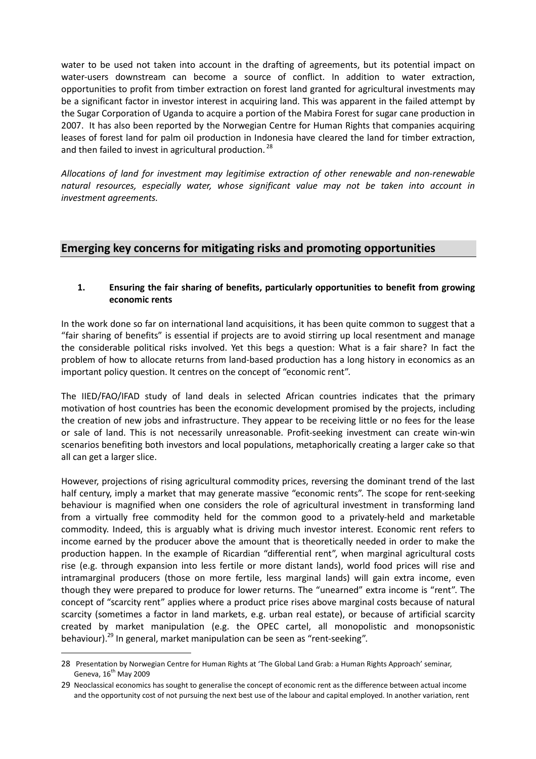water to be used not taken into account in the drafting of agreements, but its potential impact on water-users downstream can become a source of conflict. In addition to water extraction, opportunities to profit from timber extraction on forest land granted for agricultural investments may be a significant factor in investor interest in acquiring land. This was apparent in the failed attempt by the Sugar Corporation of Uganda to acquire a portion of the Mabira Forest for sugar cane production in 2007. It has also been reported by the Norwegian Centre for Human Rights that companies acquiring leases of forest land for palm oil production in Indonesia have cleared the land for timber extraction, and then failed to invest in agricultural production.<sup>28</sup>

Allocations of land for investment may legitimise extraction of other renewable and non-renewable natural resources, especially water, whose significant value may not be taken into account in investment agreements.

#### Emerging key concerns for mitigating risks and promoting opportunities

#### 1. Ensuring the fair sharing of benefits, particularly opportunities to benefit from growing economic rents

In the work done so far on international land acquisitions, it has been quite common to suggest that a "fair sharing of benefits" is essential if projects are to avoid stirring up local resentment and manage the considerable political risks involved. Yet this begs a question: What is a fair share? In fact the problem of how to allocate returns from land-based production has a long history in economics as an important policy question. It centres on the concept of "economic rent".

The IIED/FAO/IFAD study of land deals in selected African countries indicates that the primary motivation of host countries has been the economic development promised by the projects, including the creation of new jobs and infrastructure. They appear to be receiving little or no fees for the lease or sale of land. This is not necessarily unreasonable. Profit-seeking investment can create win-win scenarios benefiting both investors and local populations, metaphorically creating a larger cake so that all can get a larger slice.

However, projections of rising agricultural commodity prices, reversing the dominant trend of the last half century, imply a market that may generate massive "economic rents". The scope for rent-seeking behaviour is magnified when one considers the role of agricultural investment in transforming land from a virtually free commodity held for the common good to a privately-held and marketable commodity. Indeed, this is arguably what is driving much investor interest. Economic rent refers to income earned by the producer above the amount that is theoretically needed in order to make the production happen. In the example of Ricardian "differential rent", when marginal agricultural costs rise (e.g. through expansion into less fertile or more distant lands), world food prices will rise and intramarginal producers (those on more fertile, less marginal lands) will gain extra income, even though they were prepared to produce for lower returns. The "unearned" extra income is "rent". The concept of "scarcity rent" applies where a product price rises above marginal costs because of natural scarcity (sometimes a factor in land markets, e.g. urban real estate), or because of artificial scarcity created by market manipulation (e.g. the OPEC cartel, all monopolistic and monopsonistic behaviour).<sup>29</sup> In general, market manipulation can be seen as "rent-seeking".

<sup>28</sup> Presentation by Norwegian Centre for Human Rights at 'The Global Land Grab: a Human Rights Approach' seminar, Geneva,  $16^{th}$  May 2009

<sup>29</sup> Neoclassical economics has sought to generalise the concept of economic rent as the difference between actual income and the opportunity cost of not pursuing the next best use of the labour and capital employed. In another variation, rent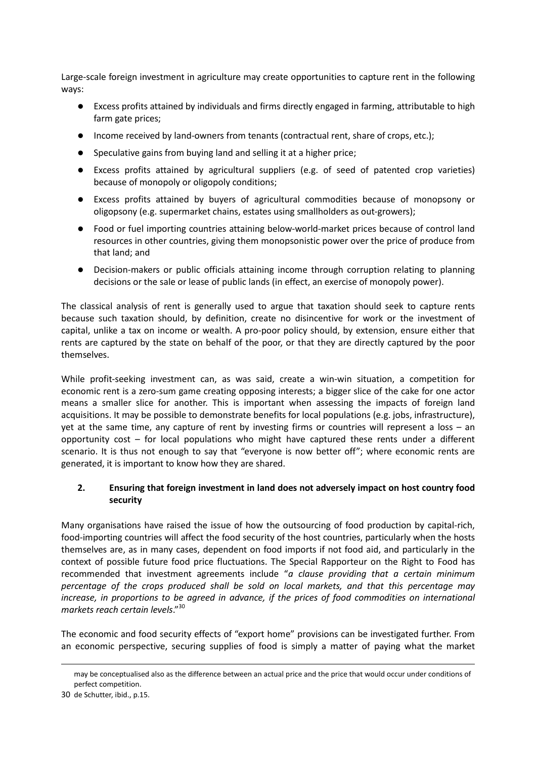Large-scale foreign investment in agriculture may create opportunities to capture rent in the following ways:

- Excess profits attained by individuals and firms directly engaged in farming, attributable to high farm gate prices;
- Income received by land-owners from tenants (contractual rent, share of crops, etc.);
- Speculative gains from buying land and selling it at a higher price;
- Excess profits attained by agricultural suppliers (e.g. of seed of patented crop varieties) because of monopoly or oligopoly conditions;
- Excess profits attained by buyers of agricultural commodities because of monopsony or oligopsony (e.g. supermarket chains, estates using smallholders as out-growers);
- Food or fuel importing countries attaining below-world-market prices because of control land resources in other countries, giving them monopsonistic power over the price of produce from that land; and
- Decision-makers or public officials attaining income through corruption relating to planning decisions or the sale or lease of public lands (in effect, an exercise of monopoly power).

The classical analysis of rent is generally used to argue that taxation should seek to capture rents because such taxation should, by definition, create no disincentive for work or the investment of capital, unlike a tax on income or wealth. A pro-poor policy should, by extension, ensure either that rents are captured by the state on behalf of the poor, or that they are directly captured by the poor themselves.

While profit-seeking investment can, as was said, create a win-win situation, a competition for economic rent is a zero-sum game creating opposing interests; a bigger slice of the cake for one actor means a smaller slice for another. This is important when assessing the impacts of foreign land acquisitions. It may be possible to demonstrate benefits for local populations (e.g. jobs, infrastructure), yet at the same time, any capture of rent by investing firms or countries will represent a loss – an opportunity cost  $-$  for local populations who might have captured these rents under a different scenario. It is thus not enough to say that "everyone is now better off"; where economic rents are generated, it is important to know how they are shared.

#### 2. Ensuring that foreign investment in land does not adversely impact on host country food security

Many organisations have raised the issue of how the outsourcing of food production by capital-rich, food-importing countries will affect the food security of the host countries, particularly when the hosts themselves are, as in many cases, dependent on food imports if not food aid, and particularly in the context of possible future food price fluctuations. The Special Rapporteur on the Right to Food has recommended that investment agreements include "a clause providing that a certain minimum percentage of the crops produced shall be sold on local markets, and that this percentage may increase, in proportions to be agreed in advance, if the prices of food commodities on international markets reach certain levels."<sup>30</sup>

The economic and food security effects of "export home" provisions can be investigated further. From an economic perspective, securing supplies of food is simply a matter of paying what the market

may be conceptualised also as the difference between an actual price and the price that would occur under conditions of perfect competition.

<sup>30</sup> de Schutter, ibid., p.15.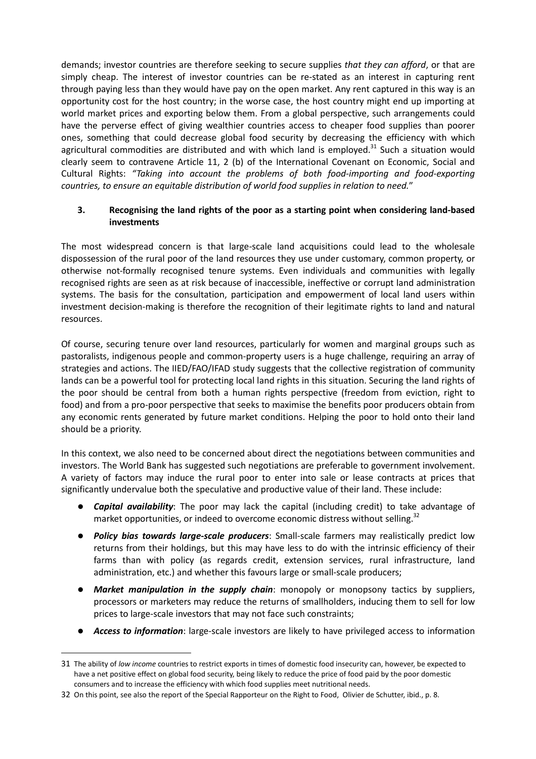demands; investor countries are therefore seeking to secure supplies that they can afford, or that are simply cheap. The interest of investor countries can be re-stated as an interest in capturing rent through paying less than they would have pay on the open market. Any rent captured in this way is an opportunity cost for the host country; in the worse case, the host country might end up importing at world market prices and exporting below them. From a global perspective, such arrangements could have the perverse effect of giving wealthier countries access to cheaper food supplies than poorer ones, something that could decrease global food security by decreasing the efficiency with which agricultural commodities are distributed and with which land is employed.<sup>31</sup> Such a situation would clearly seem to contravene Article 11, 2 (b) of the International Covenant on Economic, Social and Cultural Rights: "Taking into account the problems of both food-importing and food-exporting countries, to ensure an equitable distribution of world food supplies in relation to need."

#### 3. Recognising the land rights of the poor as a starting point when considering land-based investments

The most widespread concern is that large-scale land acquisitions could lead to the wholesale dispossession of the rural poor of the land resources they use under customary, common property, or otherwise not-formally recognised tenure systems. Even individuals and communities with legally recognised rights are seen as at risk because of inaccessible, ineffective or corrupt land administration systems. The basis for the consultation, participation and empowerment of local land users within investment decision-making is therefore the recognition of their legitimate rights to land and natural resources.

Of course, securing tenure over land resources, particularly for women and marginal groups such as pastoralists, indigenous people and common-property users is a huge challenge, requiring an array of strategies and actions. The IIED/FAO/IFAD study suggests that the collective registration of community lands can be a powerful tool for protecting local land rights in this situation. Securing the land rights of the poor should be central from both a human rights perspective (freedom from eviction, right to food) and from a pro-poor perspective that seeks to maximise the benefits poor producers obtain from any economic rents generated by future market conditions. Helping the poor to hold onto their land should be a priority.

In this context, we also need to be concerned about direct the negotiations between communities and investors. The World Bank has suggested such negotiations are preferable to government involvement. A variety of factors may induce the rural poor to enter into sale or lease contracts at prices that significantly undervalue both the speculative and productive value of their land. These include:

- Capital availability: The poor may lack the capital (including credit) to take advantage of market opportunities, or indeed to overcome economic distress without selling.<sup>32</sup>
- Policy bias towards large-scale producers: Small-scale farmers may realistically predict low returns from their holdings, but this may have less to do with the intrinsic efficiency of their farms than with policy (as regards credit, extension services, rural infrastructure, land administration, etc.) and whether this favours large or small-scale producers;
- **Market manipulation in the supply chain:** monopoly or monopsony tactics by suppliers, processors or marketers may reduce the returns of smallholders, inducing them to sell for low prices to large-scale investors that may not face such constraints;
- **Access to information**: large-scale investors are likely to have privileged access to information

<sup>31</sup> The ability of low income countries to restrict exports in times of domestic food insecurity can, however, be expected to have a net positive effect on global food security, being likely to reduce the price of food paid by the poor domestic consumers and to increase the efficiency with which food supplies meet nutritional needs.

<sup>32</sup> On this point, see also the report of the Special Rapporteur on the Right to Food, Olivier de Schutter, ibid., p. 8.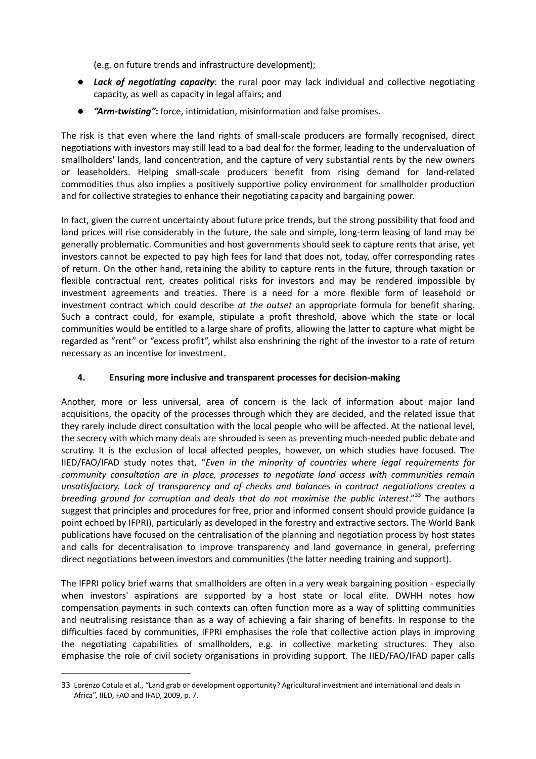(e.g. on future trends and infrastructure development);

- Lack of negotiating capacity: the rural poor may lack individual and collective negotiating capacity, as well as capacity in legal affairs; and
- **•** "Arm-twisting": force, intimidation, misinformation and false promises.

The risk is that even where the land rights of small-scale producers are formally recognised, direct negotiations with investors may still lead to a bad deal for the former, leading to the undervaluation of smallholders' lands, land concentration, and the capture of very substantial rents by the new owners or leaseholders. Helping small-scale producers benefit from rising demand for land-related commodities thus also implies a positively supportive policy environment for smallholder production and for collective strategies to enhance their negotiating capacity and bargaining power.

In fact, given the current uncertainty about future price trends, but the strong possibility that food and land prices will rise considerably in the future, the sale and simple, long-term leasing of land may be generally problematic. Communities and host governments should seek to capture rents that arise, yet investors cannot be expected to pay high fees for land that does not, today, offer corresponding rates of return. On the other hand, retaining the ability to capture rents in the future, through taxation or flexible contractual rent, creates political risks for investors and may be rendered impossible by investment agreements and treaties. There is a need for a more flexible form of leasehold or investment contract which could describe at the outset an appropriate formula for benefit sharing. Such a contract could, for example, stipulate a profit threshold, above which the state or local communities would be entitled to a large share of profits, allowing the latter to capture what might be regarded as "rent" or "excess profit", whilst also enshrining the right of the investor to a rate of return necessary as an incentive for investment.

#### 4. Ensuring more inclusive and transparent processes for decision-making

Another, more or less universal, area of concern is the lack of information about major land acquisitions, the opacity of the processes through which they are decided, and the related issue that they rarely include direct consultation with the local people who will be affected. At the national level, the secrecy with which many deals are shrouded is seen as preventing much-needed public debate and scrutiny. It is the exclusion of local affected peoples, however, on which studies have focused. The IIED/FAO/IFAD study notes that, "Even in the minority of countries where legal requirements for community consultation are in place, processes to negotiate land access with communities remain unsatisfactory. Lack of transparency and of checks and balances in contract negotiations creates a breeding ground for corruption and deals that do not maximise the public interest."<sup>33</sup> The authors suggest that principles and procedures for free, prior and informed consent should provide guidance (a point echoed by IFPRI), particularly as developed in the forestry and extractive sectors. The World Bank publications have focused on the centralisation of the planning and negotiation process by host states and calls for decentralisation to improve transparency and land governance in general, preferring direct negotiations between investors and communities (the latter needing training and support).

The IFPRI policy brief warns that smallholders are often in a very weak bargaining position - especially when investors' aspirations are supported by a host state or local elite. DWHH notes how compensation payments in such contexts can often function more as a way of splitting communities and neutralising resistance than as a way of achieving a fair sharing of benefits. In response to the difficulties faced by communities, IFPRI emphasises the role that collective action plays in improving the negotiating capabilities of smallholders, e.g. in collective marketing structures. They also emphasise the role of civil society organisations in providing support. The IIED/FAO/IFAD paper calls

<sup>33</sup> Lorenzo Cotula et al., "Land grab or development opportunity? Agricultural investment and international land deals in Africa", IIED, FAO and IFAD, 2009, p. 7.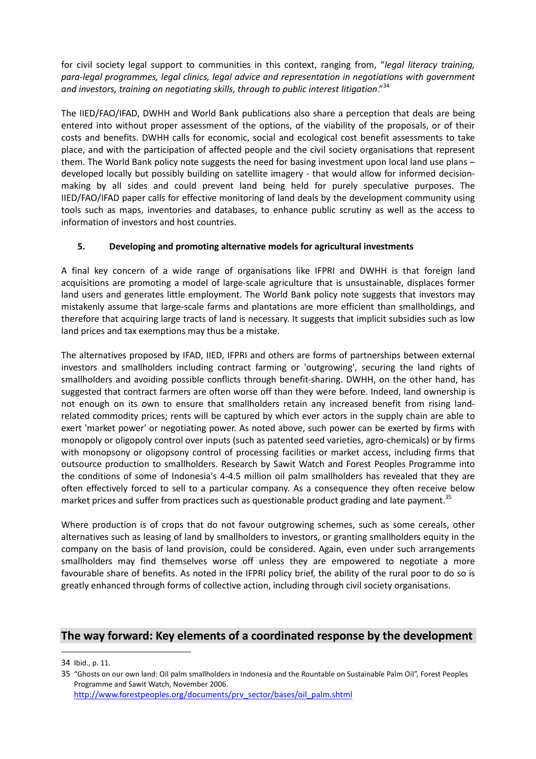for civil society legal support to communities in this context, ranging from, "legal literacy training, para-legal programmes, legal clinics, legal advice and representation in negotiations with government and investors, training on negotiating skills, through to public interest litigation."<sup>34</sup>

The IIED/FAO/IFAD, DWHH and World Bank publications also share a perception that deals are being entered into without proper assessment of the options, of the viability of the proposals, or of their costs and benefits. DWHH calls for economic, social and ecological cost benefit assessments to take place, and with the participation of affected people and the civil society organisations that represent them. The World Bank policy note suggests the need for basing investment upon local land use plans – developed locally but possibly building on satellite imagery - that would allow for informed decisionmaking by all sides and could prevent land being held for purely speculative purposes. The IIED/FAO/IFAD paper calls for effective monitoring of land deals by the development community using tools such as maps, inventories and databases, to enhance public scrutiny as well as the access to information of investors and host countries.

#### 5. Developing and promoting alternative models for agricultural investments

A final key concern of a wide range of organisations like IFPRI and DWHH is that foreign land acquisitions are promoting a model of large-scale agriculture that is unsustainable, displaces former land users and generates little employment. The World Bank policy note suggests that investors may mistakenly assume that large-scale farms and plantations are more efficient than smallholdings, and therefore that acquiring large tracts of land is necessary. It suggests that implicit subsidies such as low land prices and tax exemptions may thus be a mistake.

The alternatives proposed by IFAD, IIED, IFPRI and others are forms of partnerships between external investors and smallholders including contract farming or 'outgrowing', securing the land rights of smallholders and avoiding possible conflicts through benefit-sharing. DWHH, on the other hand, has suggested that contract farmers are often worse off than they were before. Indeed, land ownership is not enough on its own to ensure that smallholders retain any increased benefit from rising landrelated commodity prices; rents will be captured by which ever actors in the supply chain are able to exert 'market power' or negotiating power. As noted above, such power can be exerted by firms with monopoly or oligopoly control over inputs (such as patented seed varieties, agro-chemicals) or by firms with monopsony or oligopsony control of processing facilities or market access, including firms that outsource production to smallholders. Research by Sawit Watch and Forest Peoples Programme into the conditions of some of Indonesia's 4-4.5 million oil palm smallholders has revealed that they are often effectively forced to sell to a particular company. As a consequence they often receive below market prices and suffer from practices such as questionable product grading and late payment.<sup>35</sup>

Where production is of crops that do not favour outgrowing schemes, such as some cereals, other alternatives such as leasing of land by smallholders to investors, or granting smallholders equity in the company on the basis of land provision, could be considered. Again, even under such arrangements smallholders may find themselves worse off unless they are empowered to negotiate a more favourable share of benefits. As noted in the IFPRI policy brief, the ability of the rural poor to do so is greatly enhanced through forms of collective action, including through civil society organisations.

#### The way forward: Key elements of a coordinated response by the development

<sup>34</sup> Ibid., p. 11.

<sup>35</sup> "Ghosts on our own land: Oil palm smallholders in Indonesia and the Rountable on Sustainable Palm Oil", Forest Peoples Programme and Sawit Watch, November 2006. http://www.forestpeoples.org/documents/prv\_sector/bases/oil\_palm.shtml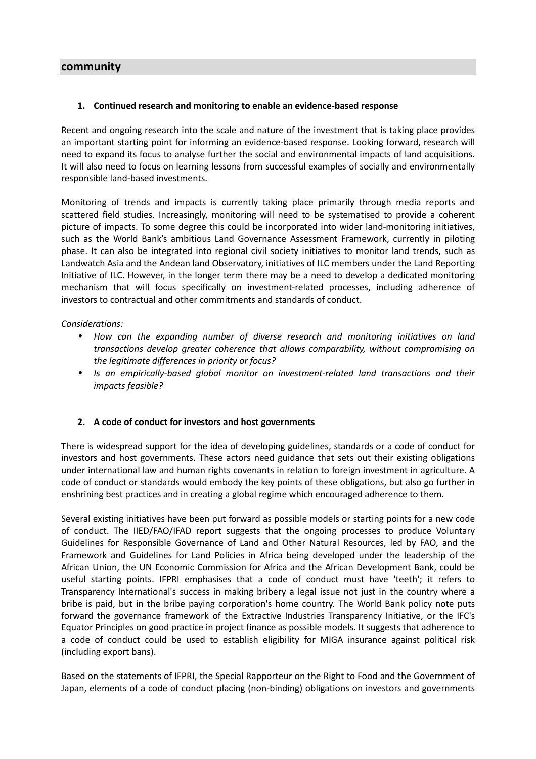#### community

#### 1. Continued research and monitoring to enable an evidence-based response

Recent and ongoing research into the scale and nature of the investment that is taking place provides an important starting point for informing an evidence-based response. Looking forward, research will need to expand its focus to analyse further the social and environmental impacts of land acquisitions. It will also need to focus on learning lessons from successful examples of socially and environmentally responsible land-based investments.

Monitoring of trends and impacts is currently taking place primarily through media reports and scattered field studies. Increasingly, monitoring will need to be systematised to provide a coherent picture of impacts. To some degree this could be incorporated into wider land-monitoring initiatives, such as the World Bank's ambitious Land Governance Assessment Framework, currently in piloting phase. It can also be integrated into regional civil society initiatives to monitor land trends, such as Landwatch Asia and the Andean land Observatory, initiatives of ILC members under the Land Reporting Initiative of ILC. However, in the longer term there may be a need to develop a dedicated monitoring mechanism that will focus specifically on investment-related processes, including adherence of investors to contractual and other commitments and standards of conduct.

Considerations:

- How can the expanding number of diverse research and monitoring initiatives on land transactions develop greater coherence that allows comparability, without compromising on the legitimate differences in priority or focus?
- Is an empirically-based global monitor on investment-related land transactions and their impacts feasible?

#### 2. A code of conduct for investors and host governments

There is widespread support for the idea of developing guidelines, standards or a code of conduct for investors and host governments. These actors need guidance that sets out their existing obligations under international law and human rights covenants in relation to foreign investment in agriculture. A code of conduct or standards would embody the key points of these obligations, but also go further in enshrining best practices and in creating a global regime which encouraged adherence to them.

Several existing initiatives have been put forward as possible models or starting points for a new code of conduct. The IIED/FAO/IFAD report suggests that the ongoing processes to produce Voluntary Guidelines for Responsible Governance of Land and Other Natural Resources, led by FAO, and the Framework and Guidelines for Land Policies in Africa being developed under the leadership of the African Union, the UN Economic Commission for Africa and the African Development Bank, could be useful starting points. IFPRI emphasises that a code of conduct must have 'teeth'; it refers to Transparency International's success in making bribery a legal issue not just in the country where a bribe is paid, but in the bribe paying corporation's home country. The World Bank policy note puts forward the governance framework of the Extractive Industries Transparency Initiative, or the IFC's Equator Principles on good practice in project finance as possible models. It suggests that adherence to a code of conduct could be used to establish eligibility for MIGA insurance against political risk (including export bans).

Based on the statements of IFPRI, the Special Rapporteur on the Right to Food and the Government of Japan, elements of a code of conduct placing (non-binding) obligations on investors and governments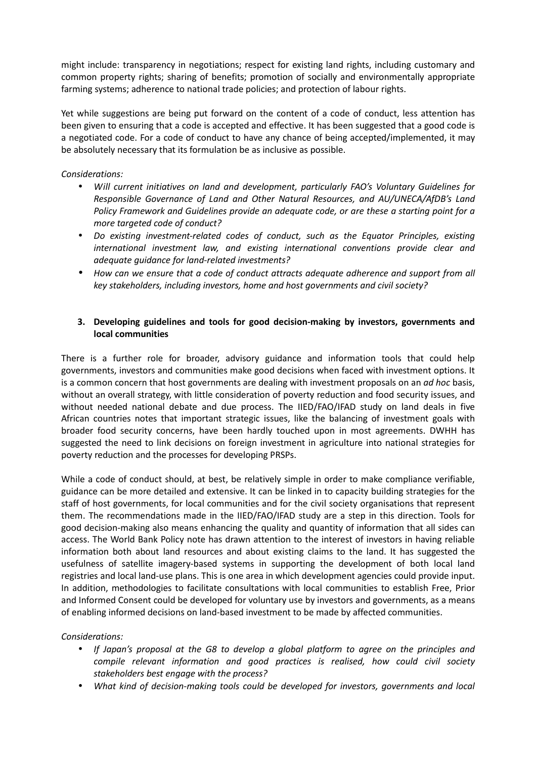might include: transparency in negotiations; respect for existing land rights, including customary and common property rights; sharing of benefits; promotion of socially and environmentally appropriate farming systems; adherence to national trade policies; and protection of labour rights.

Yet while suggestions are being put forward on the content of a code of conduct, less attention has been given to ensuring that a code is accepted and effective. It has been suggested that a good code is a negotiated code. For a code of conduct to have any chance of being accepted/implemented, it may be absolutely necessary that its formulation be as inclusive as possible.

#### Considerations:

- Will current initiatives on land and development, particularly FAO's Voluntary Guidelines for Responsible Governance of Land and Other Natural Resources, and AU/UNECA/AfDB's Land Policy Framework and Guidelines provide an adequate code, or are these a starting point for a more targeted code of conduct?
- Do existing investment-related codes of conduct, such as the Equator Principles, existing international investment law, and existing international conventions provide clear and adequate guidance for land-related investments?
- How can we ensure that a code of conduct attracts adequate adherence and support from all key stakeholders, including investors, home and host governments and civil society?

#### 3. Developing guidelines and tools for good decision-making by investors, governments and local communities

There is a further role for broader, advisory guidance and information tools that could help governments, investors and communities make good decisions when faced with investment options. It is a common concern that host governments are dealing with investment proposals on an ad hoc basis, without an overall strategy, with little consideration of poverty reduction and food security issues, and without needed national debate and due process. The IIED/FAO/IFAD study on land deals in five African countries notes that important strategic issues, like the balancing of investment goals with broader food security concerns, have been hardly touched upon in most agreements. DWHH has suggested the need to link decisions on foreign investment in agriculture into national strategies for poverty reduction and the processes for developing PRSPs.

While a code of conduct should, at best, be relatively simple in order to make compliance verifiable, guidance can be more detailed and extensive. It can be linked in to capacity building strategies for the staff of host governments, for local communities and for the civil society organisations that represent them. The recommendations made in the IIED/FAO/IFAD study are a step in this direction. Tools for good decision-making also means enhancing the quality and quantity of information that all sides can access. The World Bank Policy note has drawn attention to the interest of investors in having reliable information both about land resources and about existing claims to the land. It has suggested the usefulness of satellite imagery-based systems in supporting the development of both local land registries and local land-use plans. This is one area in which development agencies could provide input. In addition, methodologies to facilitate consultations with local communities to establish Free, Prior and Informed Consent could be developed for voluntary use by investors and governments, as a means of enabling informed decisions on land-based investment to be made by affected communities.

#### Considerations:

- If Japan's proposal at the G8 to develop a global platform to agree on the principles and compile relevant information and good practices is realised, how could civil society stakeholders best engage with the process?
- What kind of decision-making tools could be developed for investors, governments and local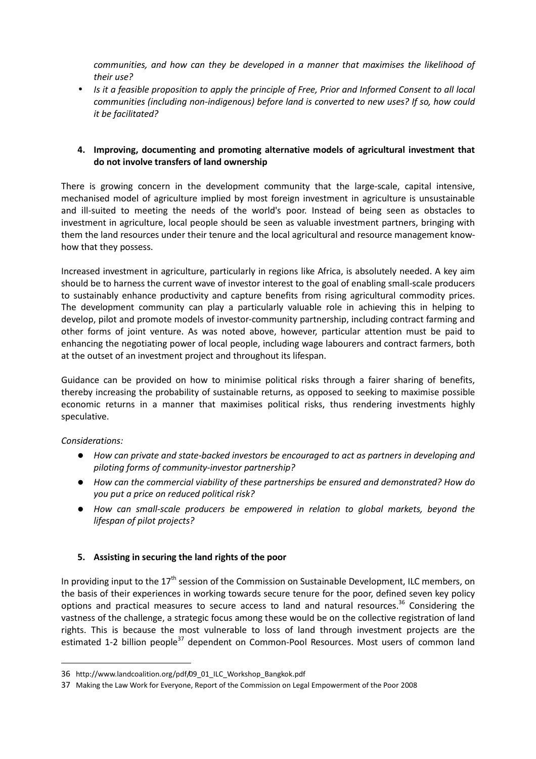communities, and how can they be developed in a manner that maximises the likelihood of their use?

• Is it a feasible proposition to apply the principle of Free, Prior and Informed Consent to all local communities (including non-indigenous) before land is converted to new uses? If so, how could it be facilitated?

#### 4. Improving, documenting and promoting alternative models of agricultural investment that do not involve transfers of land ownership

There is growing concern in the development community that the large-scale, capital intensive, mechanised model of agriculture implied by most foreign investment in agriculture is unsustainable and ill-suited to meeting the needs of the world's poor. Instead of being seen as obstacles to investment in agriculture, local people should be seen as valuable investment partners, bringing with them the land resources under their tenure and the local agricultural and resource management knowhow that they possess.

Increased investment in agriculture, particularly in regions like Africa, is absolutely needed. A key aim should be to harness the current wave of investor interest to the goal of enabling small-scale producers to sustainably enhance productivity and capture benefits from rising agricultural commodity prices. The development community can play a particularly valuable role in achieving this in helping to develop, pilot and promote models of investor-community partnership, including contract farming and other forms of joint venture. As was noted above, however, particular attention must be paid to enhancing the negotiating power of local people, including wage labourers and contract farmers, both at the outset of an investment project and throughout its lifespan.

Guidance can be provided on how to minimise political risks through a fairer sharing of benefits, thereby increasing the probability of sustainable returns, as opposed to seeking to maximise possible economic returns in a manner that maximises political risks, thus rendering investments highly speculative.

#### Considerations:

 $\overline{a}$ 

- How can private and state-backed investors be encouraged to act as partners in developing and piloting forms of community-investor partnership?
- How can the commercial viability of these partnerships be ensured and demonstrated? How do you put a price on reduced political risk?
- How can small-scale producers be empowered in relation to global markets, beyond the lifespan of pilot projects?

#### 5. Assisting in securing the land rights of the poor

In providing input to the 17<sup>th</sup> session of the Commission on Sustainable Development, ILC members, on the basis of their experiences in working towards secure tenure for the poor, defined seven key policy options and practical measures to secure access to land and natural resources.<sup>36</sup> Considering the vastness of the challenge, a strategic focus among these would be on the collective registration of land rights. This is because the most vulnerable to loss of land through investment projects are the estimated 1-2 billion people<sup>37</sup> dependent on Common-Pool Resources. Most users of common land

<sup>36</sup> http://www.landcoalition.org/pdf/09\_01\_ILC\_Workshop\_Bangkok.pdf

<sup>37</sup> Making the Law Work for Everyone, Report of the Commission on Legal Empowerment of the Poor 2008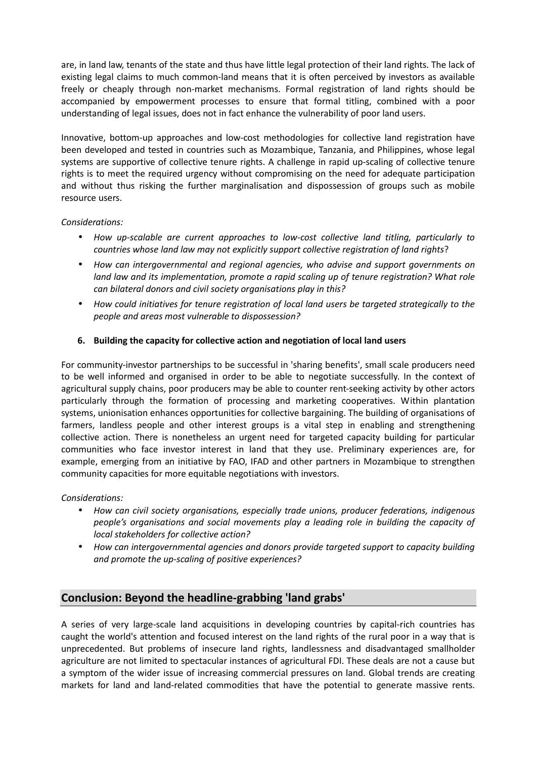are, in land law, tenants of the state and thus have little legal protection of their land rights. The lack of existing legal claims to much common-land means that it is often perceived by investors as available freely or cheaply through non-market mechanisms. Formal registration of land rights should be accompanied by empowerment processes to ensure that formal titling, combined with a poor understanding of legal issues, does not in fact enhance the vulnerability of poor land users.

Innovative, bottom-up approaches and low-cost methodologies for collective land registration have been developed and tested in countries such as Mozambique, Tanzania, and Philippines, whose legal systems are supportive of collective tenure rights. A challenge in rapid up-scaling of collective tenure rights is to meet the required urgency without compromising on the need for adequate participation and without thus risking the further marginalisation and dispossession of groups such as mobile resource users.

#### Considerations:

- How up-scalable are current approaches to low-cost collective land titling, particularly to countries whose land law may not explicitly support collective registration of land rights?
- How can intergovernmental and regional agencies, who advise and support governments on land law and its implementation, promote a rapid scaling up of tenure registration? What role can bilateral donors and civil society organisations play in this?
- How could initiatives for tenure registration of local land users be targeted strategically to the people and areas most vulnerable to dispossession?

#### 6. Building the capacity for collective action and negotiation of local land users

For community-investor partnerships to be successful in 'sharing benefits', small scale producers need to be well informed and organised in order to be able to negotiate successfully. In the context of agricultural supply chains, poor producers may be able to counter rent-seeking activity by other actors particularly through the formation of processing and marketing cooperatives. Within plantation systems, unionisation enhances opportunities for collective bargaining. The building of organisations of farmers, landless people and other interest groups is a vital step in enabling and strengthening collective action. There is nonetheless an urgent need for targeted capacity building for particular communities who face investor interest in land that they use. Preliminary experiences are, for example, emerging from an initiative by FAO, IFAD and other partners in Mozambique to strengthen community capacities for more equitable negotiations with investors.

#### Considerations:

- How can civil society organisations, especially trade unions, producer federations, indigenous people's organisations and social movements play a leading role in building the capacity of local stakeholders for collective action?
- How can intergovernmental agencies and donors provide targeted support to capacity building and promote the up-scaling of positive experiences?

#### Conclusion: Beyond the headline-grabbing 'land grabs'

A series of very large-scale land acquisitions in developing countries by capital-rich countries has caught the world's attention and focused interest on the land rights of the rural poor in a way that is unprecedented. But problems of insecure land rights, landlessness and disadvantaged smallholder agriculture are not limited to spectacular instances of agricultural FDI. These deals are not a cause but a symptom of the wider issue of increasing commercial pressures on land. Global trends are creating markets for land and land-related commodities that have the potential to generate massive rents.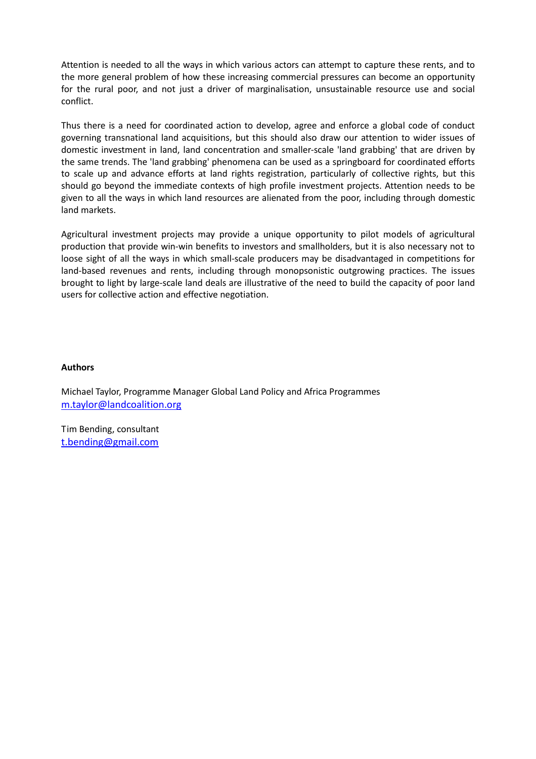Attention is needed to all the ways in which various actors can attempt to capture these rents, and to the more general problem of how these increasing commercial pressures can become an opportunity for the rural poor, and not just a driver of marginalisation, unsustainable resource use and social conflict.

Thus there is a need for coordinated action to develop, agree and enforce a global code of conduct governing transnational land acquisitions, but this should also draw our attention to wider issues of domestic investment in land, land concentration and smaller-scale 'land grabbing' that are driven by the same trends. The 'land grabbing' phenomena can be used as a springboard for coordinated efforts to scale up and advance efforts at land rights registration, particularly of collective rights, but this should go beyond the immediate contexts of high profile investment projects. Attention needs to be given to all the ways in which land resources are alienated from the poor, including through domestic land markets.

Agricultural investment projects may provide a unique opportunity to pilot models of agricultural production that provide win-win benefits to investors and smallholders, but it is also necessary not to loose sight of all the ways in which small-scale producers may be disadvantaged in competitions for land-based revenues and rents, including through monopsonistic outgrowing practices. The issues brought to light by large-scale land deals are illustrative of the need to build the capacity of poor land users for collective action and effective negotiation.

#### Authors

Michael Taylor, Programme Manager Global Land Policy and Africa Programmes m.taylor@landcoalition.org

Tim Bending, consultant t.bending@gmail.com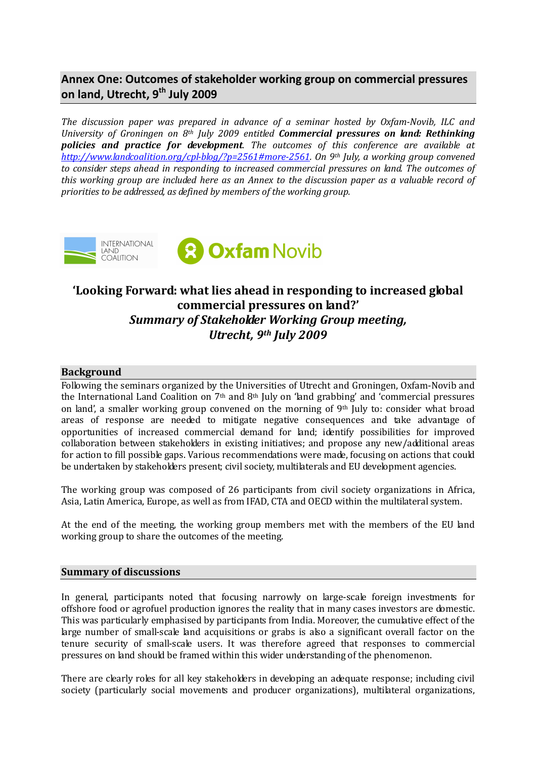### Annex One: Outcomes of stakeholder working group on commercial pressures on land, Utrecht, 9<sup>th</sup> July 2009

The discussion paper was prepared in advance of a seminar hosted by Oxfam-Novib, ILC and University of Groningen on  $8<sup>th</sup>$  July 2009 entitled **Commercial pressures on land: Rethinking** policies and practice for development. The outcomes of this conference are available at http://www.landcoalition.org/cpl-blog/?p=2561#more-2561. On 9th July, a working group convened to consider steps ahead in responding to increased commercial pressures on land. The outcomes of this working group are included here as an Annex to the discussion paper as a valuable record of priorities to be addressed, as defined by members of the working group.



## 'Looking Forward: what lies ahead in responding to increased global commercial pressures on land?' Summary of Stakeholder Working Group meeting, Utrecht, 9th July 2009

#### Background

Following the seminars organized by the Universities of Utrecht and Groningen, Oxfam-Novib and the International Land Coalition on  $7<sup>th</sup>$  and  $8<sup>th</sup>$  July on 'land grabbing' and 'commercial pressures on land', a smaller working group convened on the morning of 9th July to: consider what broad areas of response are needed to mitigate negative consequences and take advantage of opportunities of increased commercial demand for land; identify possibilities for improved collaboration between stakeholders in existing initiatives; and propose any new/additional areas for action to fill possible gaps. Various recommendations were made, focusing on actions that could be undertaken by stakeholders present; civil society, multilaterals and EU development agencies.

The working group was composed of 26 participants from civil society organizations in Africa, Asia, Latin America, Europe, as well as from IFAD, CTA and OECD within the multilateral system.

At the end of the meeting, the working group members met with the members of the EU land working group to share the outcomes of the meeting.

#### Summary of discussions

In general, participants noted that focusing narrowly on large-scale foreign investments for offshore food or agrofuel production ignores the reality that in many cases investors are domestic. This was particularly emphasised by participants from India. Moreover, the cumulative effect of the large number of small-scale land acquisitions or grabs is also a significant overall factor on the tenure security of small-scale users. It was therefore agreed that responses to commercial pressures on land should be framed within this wider understanding of the phenomenon.

There are clearly roles for all key stakeholders in developing an adequate response; including civil society (particularly social movements and producer organizations), multilateral organizations,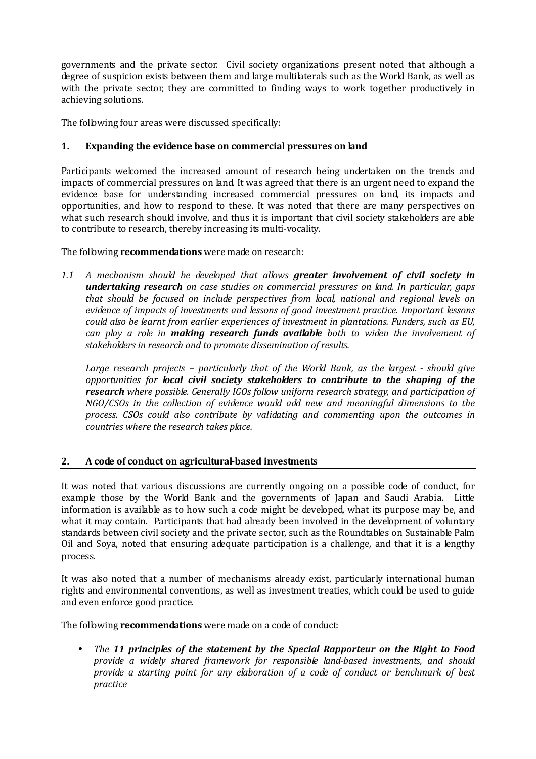governments and the private sector. Civil society organizations present noted that although a degree of suspicion exists between them and large multilaterals such as the World Bank, as well as with the private sector, they are committed to finding ways to work together productively in achieving solutions.

The following four areas were discussed specifically:

#### 1. Expanding the evidence base on commercial pressures on land

Participants welcomed the increased amount of research being undertaken on the trends and impacts of commercial pressures on land. It was agreed that there is an urgent need to expand the evidence base for understanding increased commercial pressures on land, its impacts and opportunities, and how to respond to these. It was noted that there are many perspectives on what such research should involve, and thus it is important that civil society stakeholders are able to contribute to research, thereby increasing its multi-vocality.

The following **recommendations** were made on research:

1.1 A mechanism should be developed that allows greater involvement of civil society in undertaking research on case studies on commercial pressures on land. In particular, gaps that should be focused on include perspectives from local, national and regional levels on evidence of impacts of investments and lessons of good investment practice. Important lessons could also be learnt from earlier experiences of investment in plantations. Funders, such as EU, can play a role in **making research funds available** both to widen the involvement of stakeholders in research and to promote dissemination of results.

Large research projects – particularly that of the World Bank, as the largest - should give opportunities for local civil society stakeholders to contribute to the shaping of the **research** where possible. Generally IGOs follow uniform research strategy, and participation of NGO/CSOs in the collection of evidence would add new and meaningful dimensions to the process. CSOs could also contribute by validating and commenting upon the outcomes in countries where the research takes place.

#### 2. A code of conduct on agricultural-based investments

It was noted that various discussions are currently ongoing on a possible code of conduct, for example those by the World Bank and the governments of Japan and Saudi Arabia. Little information is available as to how such a code might be developed, what its purpose may be, and what it may contain. Participants that had already been involved in the development of voluntary standards between civil society and the private sector, such as the Roundtables on Sustainable Palm Oil and Soya, noted that ensuring adequate participation is a challenge, and that it is a lengthy process.

It was also noted that a number of mechanisms already exist, particularly international human rights and environmental conventions, as well as investment treaties, which could be used to guide and even enforce good practice.

The following **recommendations** were made on a code of conduct:

• The 11 principles of the statement by the Special Rapporteur on the Right to Food provide a widely shared framework for responsible land-based investments, and should provide a starting point for any elaboration of a code of conduct or benchmark of best practice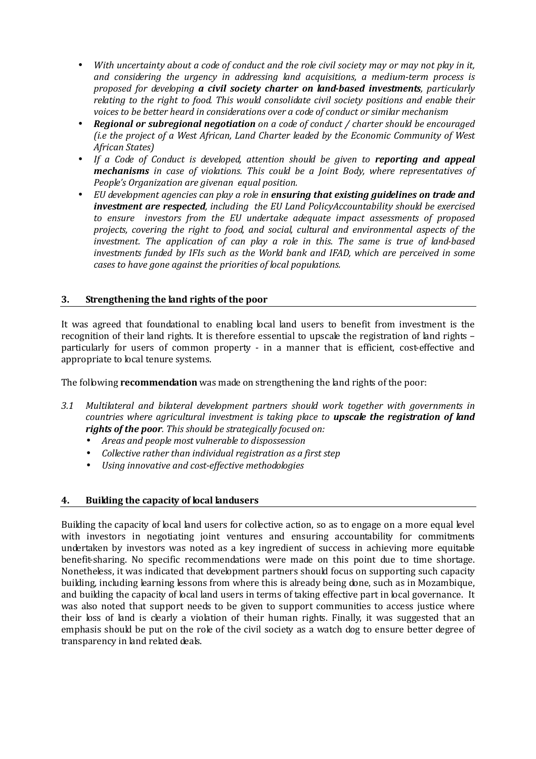- With uncertainty about a code of conduct and the role civil society may or may not play in it, and considering the urgency in addressing land acquisitions, a medium-term process is proposed for developing a civil society charter on land-based investments, particularly relating to the right to food. This would consolidate civil society positions and enable their voices to be better heard in considerations over a code of conduct or similar mechanism
- Regional or subregional negotiation on a code of conduct / charter should be encouraged (i.e the project of a West African, Land Charter leaded by the Economic Community of West African States)
- If a Code of Conduct is developed, attention should be given to reporting and appeal mechanisms in case of violations. This could be a Joint Body, where representatives of People's Organization are givenan equal position.
- EU development agencies can play a role in ensuring that existing guidelines on trade and investment are respected, including the EU Land PolicyAccountability should be exercised to ensure investors from the EU undertake adequate impact assessments of proposed projects, covering the right to food, and social, cultural and environmental aspects of the investment. The application of can play a role in this. The same is true of land-based investments funded by IFIs such as the World bank and IFAD, which are perceived in some cases to have gone against the priorities of local populations.

#### 3. Strengthening the land rights of the poor

It was agreed that foundational to enabling local land users to benefit from investment is the recognition of their land rights. It is therefore essential to upscale the registration of land rights – particularly for users of common property - in a manner that is efficient, cost-effective and appropriate to local tenure systems.

The following **recommendation** was made on strengthening the land rights of the poor:

- 3.1 Multilateral and bilateral development partners should work together with governments in countries where agricultural investment is taking place to **upscale the registration of land** rights of the poor. This should be strategically focused on:
	- Areas and people most vulnerable to dispossession
	- Collective rather than individual registration as a first step
	- Using innovative and cost-effective methodologies

#### 4. Building the capacity of local landusers

Building the capacity of local land users for collective action, so as to engage on a more equal level with investors in negotiating joint ventures and ensuring accountability for commitments undertaken by investors was noted as a key ingredient of success in achieving more equitable benefit-sharing. No specific recommendations were made on this point due to time shortage. Nonetheless, it was indicated that development partners should focus on supporting such capacity building, including learning lessons from where this is already being done, such as in Mozambique, and building the capacity of local land users in terms of taking effective part in local governance. It was also noted that support needs to be given to support communities to access justice where their loss of land is clearly a violation of their human rights. Finally, it was suggested that an emphasis should be put on the role of the civil society as a watch dog to ensure better degree of transparency in land related deals.